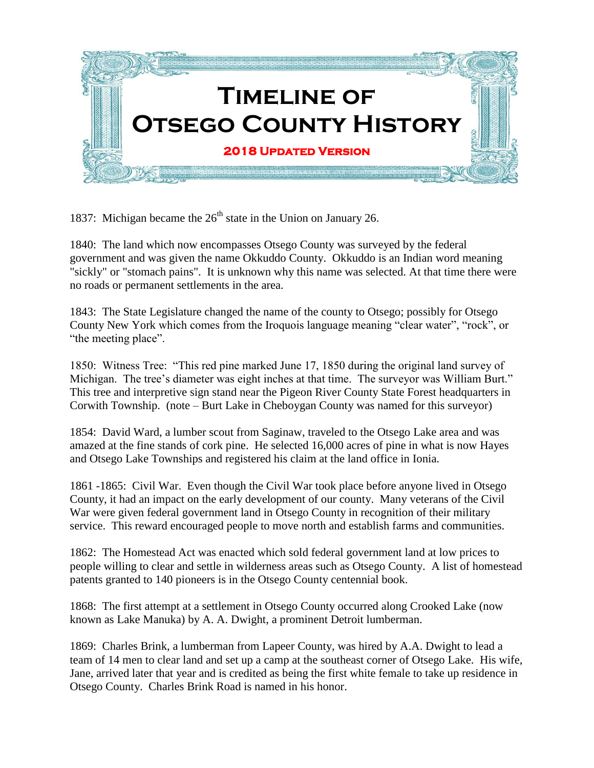

1837: Michigan became the  $26<sup>th</sup>$  state in the Union on January 26.

1840: The land which now encompasses Otsego County was surveyed by the federal government and was given the name Okkuddo County. Okkuddo is an Indian word meaning "sickly" or "stomach pains". It is unknown why this name was selected. At that time there were no roads or permanent settlements in the area.

1843: The State Legislature changed the name of the county to Otsego; possibly for Otsego County New York which comes from the Iroquois language meaning "clear water", "rock", or "the meeting place".

1850: Witness Tree: "This red pine marked June 17, 1850 during the original land survey of Michigan. The tree's diameter was eight inches at that time. The surveyor was William Burt." This tree and interpretive sign stand near the Pigeon River County State Forest headquarters in Corwith Township. (note – Burt Lake in Cheboygan County was named for this surveyor)

1854: David Ward, a lumber scout from Saginaw, traveled to the Otsego Lake area and was amazed at the fine stands of cork pine. He selected 16,000 acres of pine in what is now Hayes and Otsego Lake Townships and registered his claim at the land office in Ionia.

1861 -1865: Civil War. Even though the Civil War took place before anyone lived in Otsego County, it had an impact on the early development of our county. Many veterans of the Civil War were given federal government land in Otsego County in recognition of their military service. This reward encouraged people to move north and establish farms and communities.

1862: The Homestead Act was enacted which sold federal government land at low prices to people willing to clear and settle in wilderness areas such as Otsego County. A list of homestead patents granted to 140 pioneers is in the Otsego County centennial book.

1868: The first attempt at a settlement in Otsego County occurred along Crooked Lake (now known as Lake Manuka) by A. A. Dwight, a prominent Detroit lumberman.

1869: Charles Brink, a lumberman from Lapeer County, was hired by A.A. Dwight to lead a team of 14 men to clear land and set up a camp at the southeast corner of Otsego Lake. His wife, Jane, arrived later that year and is credited as being the first white female to take up residence in Otsego County. Charles Brink Road is named in his honor.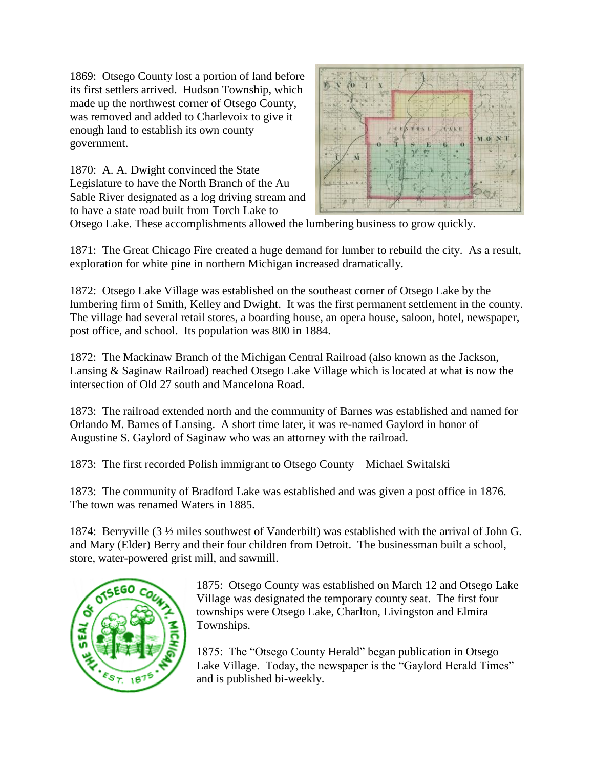1869: Otsego County lost a portion of land before its first settlers arrived. Hudson Township, which made up the northwest corner of Otsego County, was removed and added to Charlevoix to give it enough land to establish its own county government.

1870: A. A. Dwight convinced the State Legislature to have the North Branch of the Au Sable River designated as a log driving stream and to have a state road built from Torch Lake to



Otsego Lake. These accomplishments allowed the lumbering business to grow quickly.

1871: The Great Chicago Fire created a huge demand for lumber to rebuild the city. As a result, exploration for white pine in northern Michigan increased dramatically.

1872: Otsego Lake Village was established on the southeast corner of Otsego Lake by the lumbering firm of Smith, Kelley and Dwight. It was the first permanent settlement in the county. The village had several retail stores, a boarding house, an opera house, saloon, hotel, newspaper, post office, and school. Its population was 800 in 1884.

1872: The Mackinaw Branch of the Michigan Central Railroad (also known as the Jackson, Lansing & Saginaw Railroad) reached Otsego Lake Village which is located at what is now the intersection of Old 27 south and Mancelona Road.

1873: The railroad extended north and the community of Barnes was established and named for Orlando M. Barnes of Lansing. A short time later, it was re-named Gaylord in honor of Augustine S. Gaylord of Saginaw who was an attorney with the railroad.

1873: The first recorded Polish immigrant to Otsego County – Michael Switalski

1873: The community of Bradford Lake was established and was given a post office in 1876. The town was renamed Waters in 1885.

1874: Berryville (3 ½ miles southwest of Vanderbilt) was established with the arrival of John G. and Mary (Elder) Berry and their four children from Detroit. The businessman built a school, store, water-powered grist mill, and sawmill.



1875: Otsego County was established on March 12 and Otsego Lake Village was designated the temporary county seat. The first four townships were Otsego Lake, Charlton, Livingston and Elmira Townships.

1875: The "Otsego County Herald" began publication in Otsego Lake Village. Today, the newspaper is the "Gaylord Herald Times" and is published bi-weekly.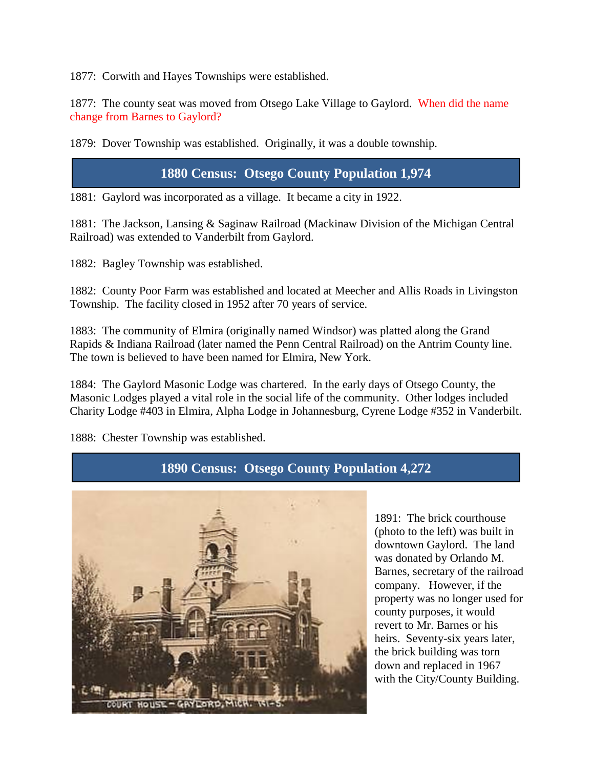1877: Corwith and Hayes Townships were established.

1877: The county seat was moved from Otsego Lake Village to Gaylord. When did the name change from Barnes to Gaylord?

1879: Dover Township was established. Originally, it was a double township.

#### **1880 Census: Otsego County Population 1,974**

1881: Gaylord was incorporated as a village. It became a city in 1922.

1881: The Jackson, Lansing & Saginaw Railroad (Mackinaw Division of the Michigan Central Railroad) was extended to Vanderbilt from Gaylord.

1882: Bagley Township was established.

1882: County Poor Farm was established and located at Meecher and Allis Roads in Livingston Township. The facility closed in 1952 after 70 years of service.

1883: The community of Elmira (originally named Windsor) was platted along the Grand Rapids & Indiana Railroad (later named the Penn Central Railroad) on the Antrim County line. The town is believed to have been named for Elmira, New York.

1884: The Gaylord Masonic Lodge was chartered. In the early days of Otsego County, the Masonic Lodges played a vital role in the social life of the community. Other lodges included Charity Lodge #403 in Elmira, Alpha Lodge in Johannesburg, Cyrene Lodge #352 in Vanderbilt.

1888: Chester Township was established.

**1890 Census: Otsego County Population 4,272**



1891: The brick courthouse (photo to the left) was built in downtown Gaylord. The land was donated by Orlando M. Barnes, secretary of the railroad company. However, if the property was no longer used for county purposes, it would revert to Mr. Barnes or his heirs. Seventy-six years later, the brick building was torn down and replaced in 1967 with the City/County Building.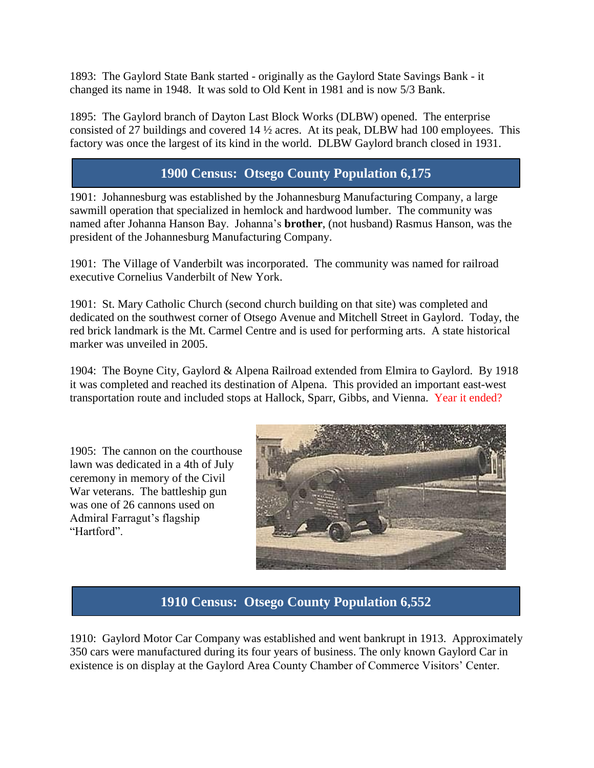1893: The Gaylord State Bank started - originally as the Gaylord State Savings Bank - it changed its name in 1948. It was sold to Old Kent in 1981 and is now 5/3 Bank.

1895: The Gaylord branch of Dayton Last Block Works (DLBW) opened. The enterprise consisted of 27 buildings and covered 14 ½ acres. At its peak, DLBW had 100 employees. This factory was once the largest of its kind in the world. DLBW Gaylord branch closed in 1931.

## **1900 Census: Otsego County Population 6,175**

1901: Johannesburg was established by the Johannesburg Manufacturing Company, a large sawmill operation that specialized in hemlock and hardwood lumber. The community was named after Johanna Hanson Bay. Johanna's **brother**, (not husband) Rasmus Hanson, was the president of the Johannesburg Manufacturing Company.

1901: The Village of Vanderbilt was incorporated. The community was named for railroad executive Cornelius Vanderbilt of New York.

1901: St. Mary Catholic Church (second church building on that site) was completed and dedicated on the southwest corner of Otsego Avenue and Mitchell Street in Gaylord. Today, the red brick landmark is the Mt. Carmel Centre and is used for performing arts. A state historical marker was unveiled in 2005.

1904: The Boyne City, Gaylord & Alpena Railroad extended from Elmira to Gaylord. By 1918 it was completed and reached its destination of Alpena. This provided an important east-west transportation route and included stops at Hallock, Sparr, Gibbs, and Vienna. Year it ended?

1905: The cannon on the courthouse lawn was dedicated in a 4th of July ceremony in memory of the Civil War veterans. The battleship gun was one of 26 cannons used on Admiral Farragut's flagship "Hartford".



# **1910 Census: Otsego County Population 6,552**

1910: Gaylord Motor Car Company was established and went bankrupt in 1913. Approximately 350 cars were manufactured during its four years of business. The only known Gaylord Car in existence is on display at the Gaylord Area County Chamber of Commerce Visitors' Center.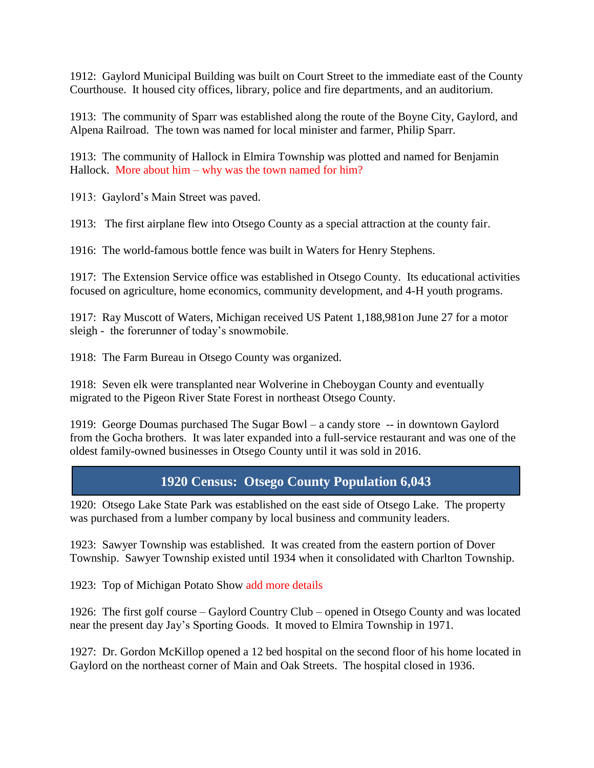1912: Gaylord Municipal Building was built on Court Street to the immediate east of the County Courthouse. It housed city offices, library, police and fire departments, and an auditorium.

1913: The community of Sparr was established along the route of the Boyne City, Gaylord, and Alpena Railroad. The town was named for local minister and farmer, Philip Sparr.

1913: The community of Hallock in Elmira Township was plotted and named for Benjamin Hallock. More about him – why was the town named for him?

1913: Gaylord's Main Street was paved.

1913: The first airplane flew into Otsego County as a special attraction at the county fair.

1916: The world-famous bottle fence was built in Waters for Henry Stephens.

1917: The Extension Service office was established in Otsego County. Its educational activities focused on agriculture, home economics, community development, and 4-H youth programs.

1917: Ray Muscott of Waters, Michigan received US Patent 1,188,981on June 27 for a motor sleigh - the forerunner of today's snowmobile.

1918: The Farm Bureau in Otsego County was organized.

1918: Seven elk were transplanted near Wolverine in Cheboygan County and eventually migrated to the Pigeon River State Forest in northeast Otsego County.

1919: George Doumas purchased The Sugar Bowl – a candy store -- in downtown Gaylord from the Gocha brothers. It was later expanded into a full-service restaurant and was one of the oldest family-owned businesses in Otsego County until it was sold in 2016.

## **1920 Census: Otsego County Population 6,043**

1920: Otsego Lake State Park was established on the east side of Otsego Lake. The property was purchased from a lumber company by local business and community leaders.

1923: Sawyer Township was established. It was created from the eastern portion of Dover Township. Sawyer Township existed until 1934 when it consolidated with Charlton Township.

1923: Top of Michigan Potato Show add more details

1926: The first golf course – Gaylord Country Club – opened in Otsego County and was located near the present day Jay's Sporting Goods. It moved to Elmira Township in 1971.

1927: Dr. Gordon McKillop opened a 12 bed hospital on the second floor of his home located in Gaylord on the northeast corner of Main and Oak Streets. The hospital closed in 1936.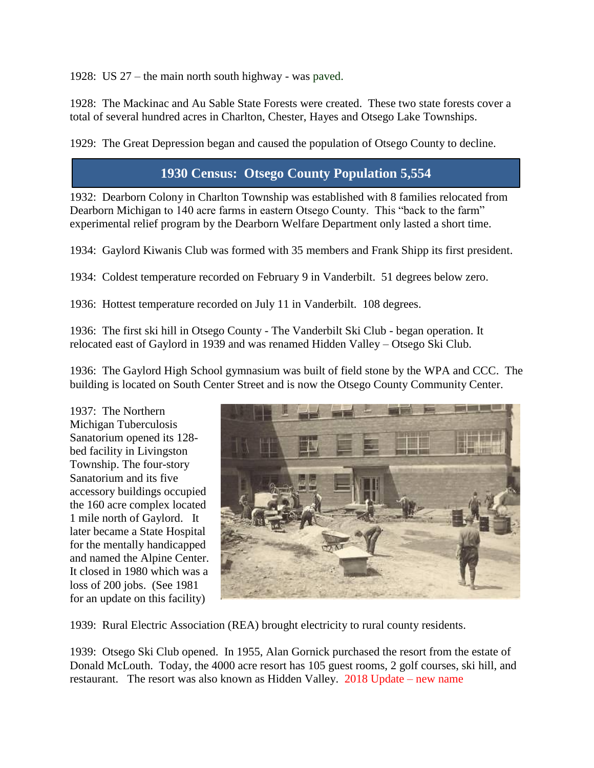1928: US 27 – the main north south highway - was paved.

1928: The Mackinac and Au Sable State Forests were created. These two state forests cover a total of several hundred acres in Charlton, Chester, Hayes and Otsego Lake Townships.

1929: The Great Depression began and caused the population of Otsego County to decline.

## **1930 Census: Otsego County Population 5,554**

1932: Dearborn Colony in Charlton Township was established with 8 families relocated from Dearborn Michigan to 140 acre farms in eastern Otsego County. This "back to the farm" experimental relief program by the Dearborn Welfare Department only lasted a short time.

1934: Gaylord Kiwanis Club was formed with 35 members and Frank Shipp its first president.

1934: Coldest temperature recorded on February 9 in Vanderbilt. 51 degrees below zero.

1936: Hottest temperature recorded on July 11 in Vanderbilt. 108 degrees.

1936: The first ski hill in Otsego County - The Vanderbilt Ski Club - began operation. It relocated east of Gaylord in 1939 and was renamed Hidden Valley – Otsego Ski Club.

1936: The Gaylord High School gymnasium was built of field stone by the WPA and CCC. The building is located on South Center Street and is now the Otsego County Community Center.

1937: The Northern Michigan Tuberculosis Sanatorium opened its 128 bed facility in Livingston Township. The four-story Sanatorium and its five accessory buildings occupied the 160 acre complex located 1 mile north of Gaylord. It later became a State Hospital for the mentally handicapped and named the Alpine Center. It closed in 1980 which was a loss of 200 jobs. (See 1981 for an update on this facility)



1939: Rural Electric Association (REA) brought electricity to rural county residents.

1939: Otsego Ski Club opened. In 1955, Alan Gornick purchased the resort from the estate of Donald McLouth. Today, the 4000 acre resort has 105 guest rooms, 2 golf courses, ski hill, and restaurant. The resort was also known as Hidden Valley. 2018 Update – new name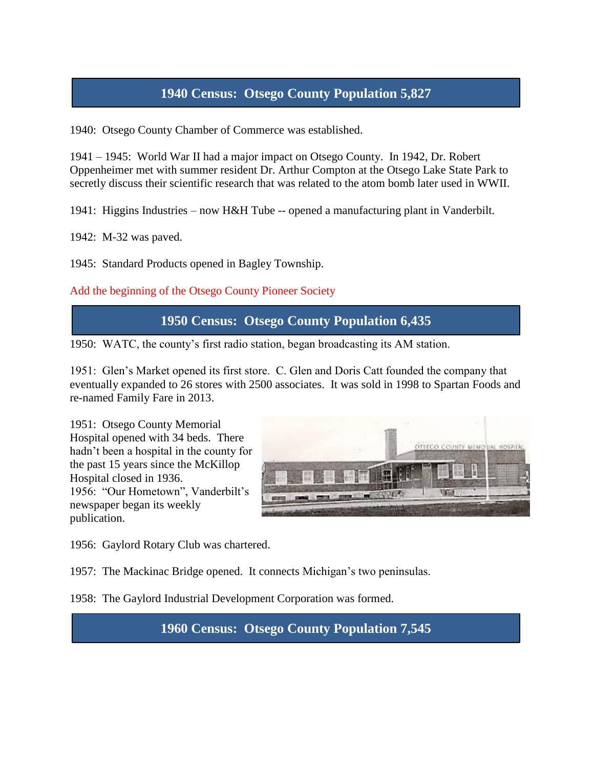## **1940 Census: Otsego County Population 5,827**

1940: Otsego County Chamber of Commerce was established.

1941 – 1945: World War II had a major impact on Otsego County. In 1942, Dr. Robert Oppenheimer met with summer resident Dr. Arthur Compton at the Otsego Lake State Park to secretly discuss their scientific research that was related to the atom bomb later used in WWII.

1941: Higgins Industries – now H&H Tube -- opened a manufacturing plant in Vanderbilt.

1942: M-32 was paved.

1945: Standard Products opened in Bagley Township.

Add the beginning of the Otsego County Pioneer Society

**1950 Census: Otsego County Population 6,435**

1950: WATC, the county's first radio station, began broadcasting its AM station.

1951: Glen's Market opened its first store. C. Glen and Doris Catt founded the company that eventually expanded to 26 stores with 2500 associates. It was sold in 1998 to Spartan Foods and re-named Family Fare in 2013.

1951: Otsego County Memorial Hospital opened with 34 beds. There hadn't been a hospital in the county for the past 15 years since the McKillop Hospital closed in 1936. 1956: "Our Hometown", Vanderbilt's newspaper began its weekly publication.



1956: Gaylord Rotary Club was chartered.

1957: The Mackinac Bridge opened. It connects Michigan's two peninsulas.

1958: The Gaylord Industrial Development Corporation was formed.

**1960 Census: Otsego County Population 7,545**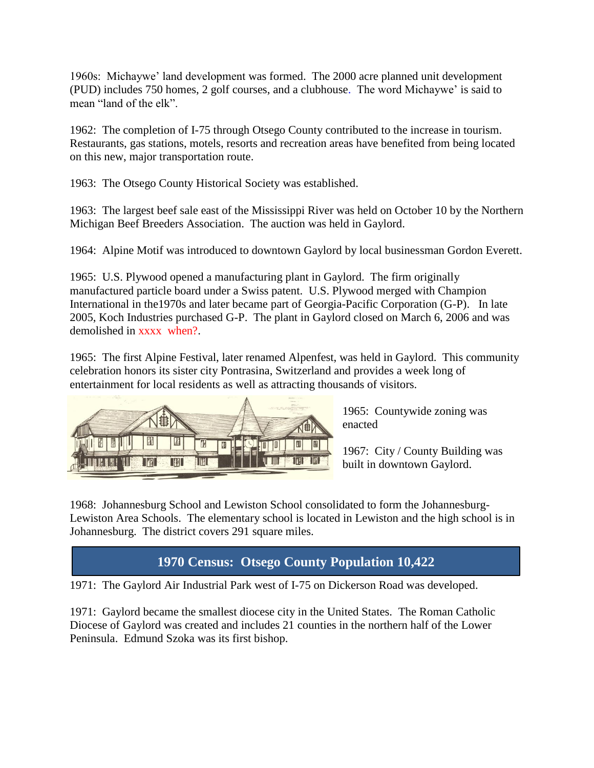1960s: Michaywe' land development was formed. The 2000 acre planned unit development (PUD) includes 750 homes, 2 golf courses, and a clubhouse. The word Michaywe' is said to mean "land of the elk".

1962: The completion of I-75 through Otsego County contributed to the increase in tourism. Restaurants, gas stations, motels, resorts and recreation areas have benefited from being located on this new, major transportation route.

1963: The Otsego County Historical Society was established.

1963: The largest beef sale east of the Mississippi River was held on October 10 by the Northern Michigan Beef Breeders Association. The auction was held in Gaylord.

1964: Alpine Motif was introduced to downtown Gaylord by local businessman Gordon Everett.

1965: U.S. Plywood opened a manufacturing plant in Gaylord. The firm originally manufactured particle board under a Swiss patent. U.S. Plywood merged with Champion International in the1970s and later became part of Georgia-Pacific Corporation (G-P). In late 2005, Koch Industries purchased G-P. The plant in Gaylord closed on March 6, 2006 and was demolished in xxxx when?.

1965: The first Alpine Festival, later renamed Alpenfest, was held in Gaylord. This community celebration honors its sister city Pontrasina, Switzerland and provides a week long of entertainment for local residents as well as attracting thousands of visitors.



1965: Countywide zoning was enacted

1967: City / County Building was built in downtown Gaylord.

1968: Johannesburg School and Lewiston School consolidated to form the Johannesburg-Lewiston Area Schools. The elementary school is located in Lewiston and the high school is in Johannesburg. The district covers 291 square miles.

# **1970 Census: Otsego County Population 10,422**

1971: The Gaylord Air Industrial Park west of I-75 on Dickerson Road was developed.

1971: Gaylord became the smallest diocese city in the United States. The Roman Catholic Diocese of Gaylord was created and includes 21 counties in the northern half of the Lower Peninsula. Edmund Szoka was its first bishop.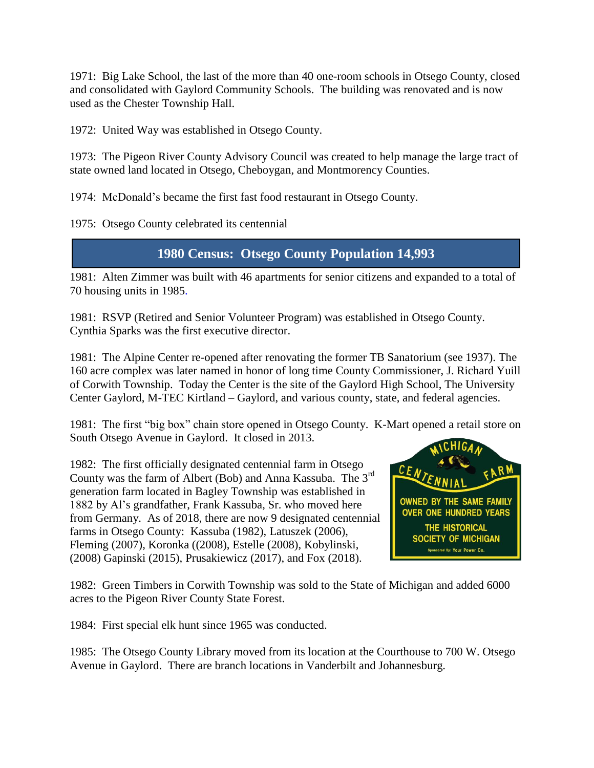1971: Big Lake School, the last of the more than 40 one-room schools in Otsego County, closed and consolidated with Gaylord Community Schools. The building was renovated and is now used as the Chester Township Hall.

1972: United Way was established in Otsego County.

1973: The Pigeon River County Advisory Council was created to help manage the large tract of state owned land located in Otsego, Cheboygan, and Montmorency Counties.

1974: McDonald's became the first fast food restaurant in Otsego County.

1975: Otsego County celebrated its centennial

## **1980 Census: Otsego County Population 14,993**

1981: Alten Zimmer was built with 46 apartments for senior citizens and expanded to a total of 70 housing units in 1985.

1981: RSVP (Retired and Senior Volunteer Program) was established in Otsego County. Cynthia Sparks was the first executive director.

1981: The Alpine Center re-opened after renovating the former TB Sanatorium (see 1937). The 160 acre complex was later named in honor of long time County Commissioner, J. Richard Yuill of Corwith Township. Today the Center is the site of the Gaylord High School, The University Center Gaylord, M-TEC Kirtland – Gaylord, and various county, state, and federal agencies.

1981: The first "big box" chain store opened in Otsego County. K-Mart opened a retail store on South Otsego Avenue in Gaylord. It closed in 2013.

1982: The first officially designated centennial farm in Otsego County was the farm of Albert (Bob) and Anna Kassuba. The 3rd generation farm located in Bagley Township was established in 1882 by Al's grandfather, Frank Kassuba, Sr. who moved here from Germany. As of 2018, there are now 9 designated centennial farms in Otsego County: Kassuba (1982), Latuszek (2006), Fleming (2007), Koronka ((2008), Estelle (2008), Kobylinski, (2008) Gapinski (2015), Prusakiewicz (2017), and Fox (2018).



1982: Green Timbers in Corwith Township was sold to the State of Michigan and added 6000 acres to the Pigeon River County State Forest.

1984: First special elk hunt since 1965 was conducted.

1985: The Otsego County Library moved from its location at the Courthouse to 700 W. Otsego Avenue in Gaylord. There are branch locations in Vanderbilt and Johannesburg.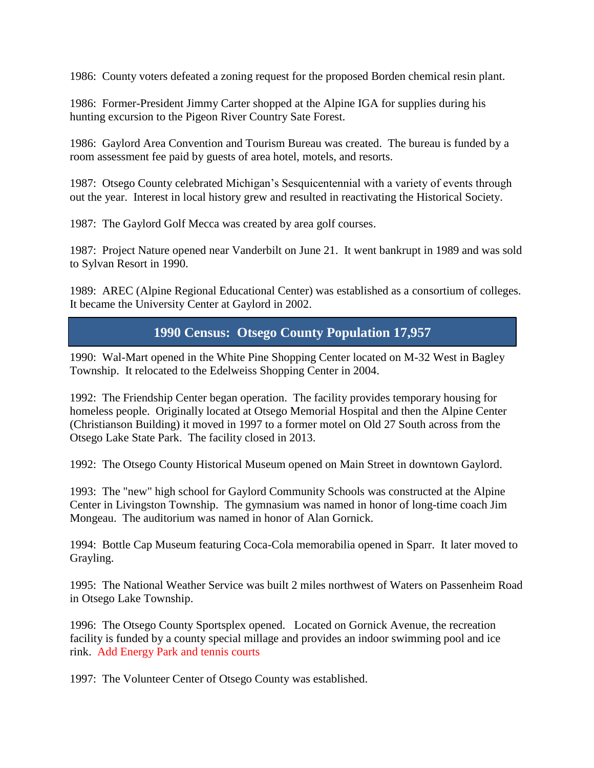1986: County voters defeated a zoning request for the proposed Borden chemical resin plant.

1986: Former-President Jimmy Carter shopped at the Alpine IGA for supplies during his hunting excursion to the Pigeon River Country Sate Forest.

1986: Gaylord Area Convention and Tourism Bureau was created. The bureau is funded by a room assessment fee paid by guests of area hotel, motels, and resorts.

1987: Otsego County celebrated Michigan's Sesquicentennial with a variety of events through out the year. Interest in local history grew and resulted in reactivating the Historical Society.

1987: The Gaylord Golf Mecca was created by area golf courses.

1987: Project Nature opened near Vanderbilt on June 21. It went bankrupt in 1989 and was sold to Sylvan Resort in 1990.

1989: AREC (Alpine Regional Educational Center) was established as a consortium of colleges. It became the University Center at Gaylord in 2002.

## **1990 Census: Otsego County Population 17,957**

1990: Wal-Mart opened in the White Pine Shopping Center located on M-32 West in Bagley Township. It relocated to the Edelweiss Shopping Center in 2004.

1992: The Friendship Center began operation. The facility provides temporary housing for homeless people. Originally located at Otsego Memorial Hospital and then the Alpine Center (Christianson Building) it moved in 1997 to a former motel on Old 27 South across from the Otsego Lake State Park. The facility closed in 2013.

1992: The Otsego County Historical Museum opened on Main Street in downtown Gaylord.

1993: The "new" high school for Gaylord Community Schools was constructed at the Alpine Center in Livingston Township. The gymnasium was named in honor of long-time coach Jim Mongeau. The auditorium was named in honor of Alan Gornick.

1994: Bottle Cap Museum featuring Coca-Cola memorabilia opened in Sparr. It later moved to Grayling.

1995: The National Weather Service was built 2 miles northwest of Waters on Passenheim Road in Otsego Lake Township.

1996: The Otsego County Sportsplex opened. Located on Gornick Avenue, the recreation facility is funded by a county special millage and provides an indoor swimming pool and ice rink. Add Energy Park and tennis courts

1997: The Volunteer Center of Otsego County was established.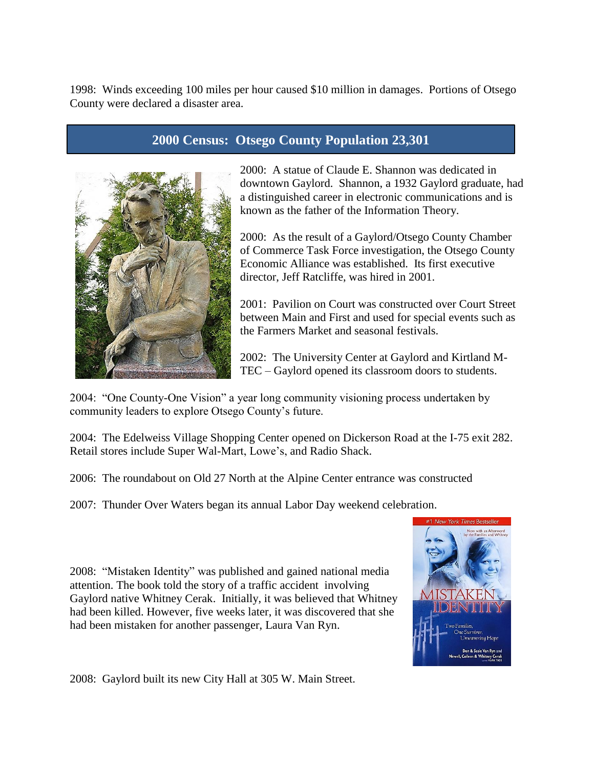1998: Winds exceeding 100 miles per hour caused \$10 million in damages. Portions of Otsego County were declared a disaster area.

#### **2000 Census: Otsego County Population 23,301**



2000: A statue of Claude E. Shannon was dedicated in downtown Gaylord. Shannon, a 1932 Gaylord graduate, had a distinguished career in electronic communications and is known as the father of the Information Theory.

2000: As the result of a Gaylord/Otsego County Chamber of Commerce Task Force investigation, the Otsego County Economic Alliance was established. Its first executive director, Jeff Ratcliffe, was hired in 2001.

2001: Pavilion on Court was constructed over Court Street between Main and First and used for special events such as the Farmers Market and seasonal festivals.

2002: The University Center at Gaylord and Kirtland M-TEC – Gaylord opened its classroom doors to students.

2004: "One County-One Vision" a year long community visioning process undertaken by community leaders to explore Otsego County's future.

2004: The Edelweiss Village Shopping Center opened on Dickerson Road at the I-75 exit 282. Retail stores include Super Wal-Mart, Lowe's, and Radio Shack.

2006: The roundabout on Old 27 North at the Alpine Center entrance was constructed

2007: Thunder Over Waters began its annual Labor Day weekend celebration.

2008: "Mistaken Identity" was published and gained national media attention. The book told the story of a traffic accident involving Gaylord native Whitney Cerak. Initially, it was believed that Whitney had been killed. However, five weeks later, it was discovered that she had been mistaken for another passenger, Laura Van Ryn.



2008: Gaylord built its new City Hall at 305 W. Main Street.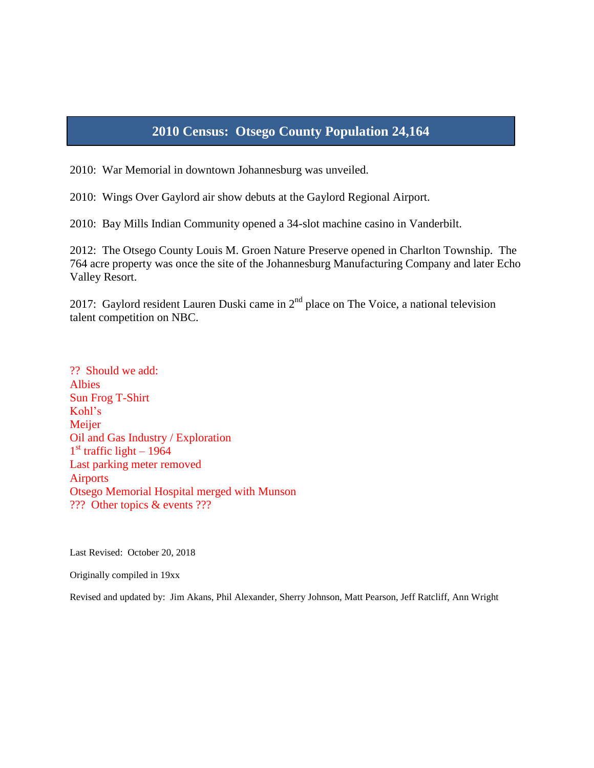# **2010 Census: Otsego County Population 24,164**

2010: War Memorial in downtown Johannesburg was unveiled.

2010: Wings Over Gaylord air show debuts at the Gaylord Regional Airport.

2010: Bay Mills Indian Community opened a 34-slot machine casino in Vanderbilt.

2012: The Otsego County Louis M. Groen Nature Preserve opened in Charlton Township. The 764 acre property was once the site of the Johannesburg Manufacturing Company and later Echo Valley Resort.

2017: Gaylord resident Lauren Duski came in  $2<sup>nd</sup>$  place on The Voice, a national television talent competition on NBC.

?? Should we add: Albies Sun Frog T-Shirt Kohl's **Meijer** Oil and Gas Industry / Exploration 1<sup>st</sup> traffic light - 1964 Last parking meter removed Airports Otsego Memorial Hospital merged with Munson ??? Other topics & events ???

Last Revised: October 20, 2018

Originally compiled in 19xx

Revised and updated by: Jim Akans, Phil Alexander, Sherry Johnson, Matt Pearson, Jeff Ratcliff, Ann Wright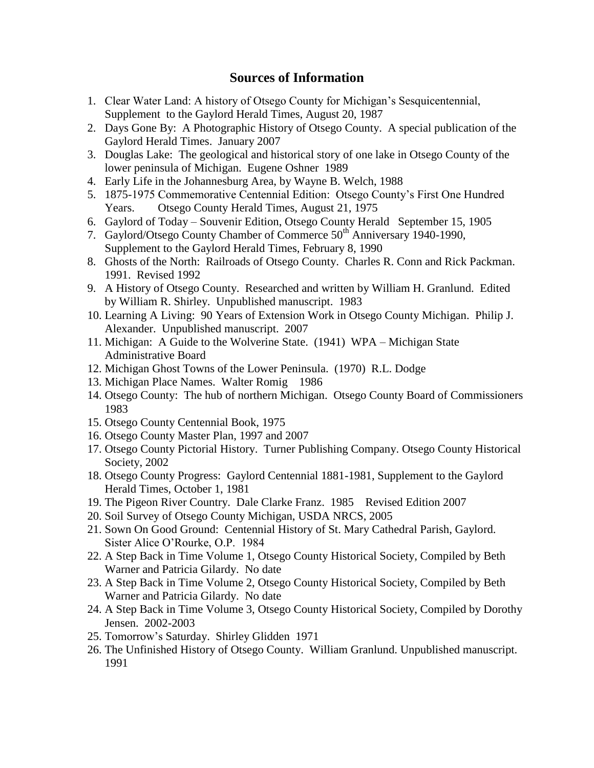#### **Sources of Information**

- 1. Clear Water Land: A history of Otsego County for Michigan's Sesquicentennial, Supplement to the Gaylord Herald Times, August 20, 1987
- 2. Days Gone By: A Photographic History of Otsego County. A special publication of the Gaylord Herald Times. January 2007
- 3. Douglas Lake: The geological and historical story of one lake in Otsego County of the lower peninsula of Michigan. Eugene Oshner 1989
- 4. Early Life in the Johannesburg Area, by Wayne B. Welch, 1988
- 5. 1875-1975 Commemorative Centennial Edition: Otsego County's First One Hundred Years. Otsego County Herald Times, August 21, 1975
- 6. Gaylord of Today Souvenir Edition, Otsego County Herald September 15, 1905
- 7. Gaylord/Otsego County Chamber of Commerce 50<sup>th</sup> Anniversary 1940-1990, Supplement to the Gaylord Herald Times, February 8, 1990
- 8. Ghosts of the North: Railroads of Otsego County. Charles R. Conn and Rick Packman. 1991. Revised 1992
- 9. A History of Otsego County. Researched and written by William H. Granlund. Edited by William R. Shirley. Unpublished manuscript. 1983
- 10. Learning A Living: 90 Years of Extension Work in Otsego County Michigan. Philip J. Alexander. Unpublished manuscript. 2007
- 11. Michigan: A Guide to the Wolverine State. (1941) WPA Michigan State Administrative Board
- 12. Michigan Ghost Towns of the Lower Peninsula. (1970) R.L. Dodge
- 13. Michigan Place Names. Walter Romig 1986
- 14. Otsego County: The hub of northern Michigan. Otsego County Board of Commissioners 1983
- 15. Otsego County Centennial Book, 1975
- 16. Otsego County Master Plan, 1997 and 2007
- 17. Otsego County Pictorial History. Turner Publishing Company. Otsego County Historical Society, 2002
- 18. Otsego County Progress: Gaylord Centennial 1881-1981, Supplement to the Gaylord Herald Times, October 1, 1981
- 19. The Pigeon River Country. Dale Clarke Franz. 1985 Revised Edition 2007
- 20. Soil Survey of Otsego County Michigan, USDA NRCS, 2005
- 21. Sown On Good Ground: Centennial History of St. Mary Cathedral Parish, Gaylord. Sister Alice O'Rourke, O.P. 1984
- 22. A Step Back in Time Volume 1, Otsego County Historical Society, Compiled by Beth Warner and Patricia Gilardy. No date
- 23. A Step Back in Time Volume 2, Otsego County Historical Society, Compiled by Beth Warner and Patricia Gilardy. No date
- 24. A Step Back in Time Volume 3, Otsego County Historical Society, Compiled by Dorothy Jensen. 2002-2003
- 25. Tomorrow's Saturday. Shirley Glidden 1971
- 26. The Unfinished History of Otsego County. William Granlund. Unpublished manuscript. 1991